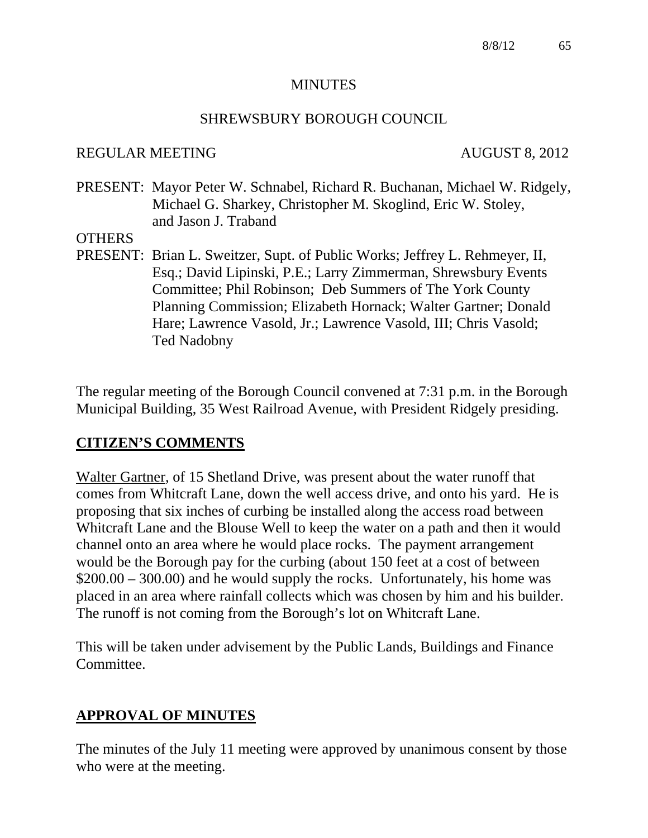#### **MINUTES**

#### SHREWSBURY BOROUGH COUNCIL

#### REGULAR MEETING AUGUST 8, 2012

PRESENT: Mayor Peter W. Schnabel, Richard R. Buchanan, Michael W. Ridgely, Michael G. Sharkey, Christopher M. Skoglind, Eric W. Stoley, and Jason J. Traband

**OTHERS** 

PRESENT: Brian L. Sweitzer, Supt. of Public Works; Jeffrey L. Rehmeyer, II, Esq.; David Lipinski, P.E.; Larry Zimmerman, Shrewsbury Events Committee; Phil Robinson; Deb Summers of The York County Planning Commission; Elizabeth Hornack; Walter Gartner; Donald Hare; Lawrence Vasold, Jr.; Lawrence Vasold, III; Chris Vasold; Ted Nadobny

The regular meeting of the Borough Council convened at 7:31 p.m. in the Borough Municipal Building, 35 West Railroad Avenue, with President Ridgely presiding.

#### **CITIZEN'S COMMENTS**

Walter Gartner, of 15 Shetland Drive, was present about the water runoff that comes from Whitcraft Lane, down the well access drive, and onto his yard. He is proposing that six inches of curbing be installed along the access road between Whitcraft Lane and the Blouse Well to keep the water on a path and then it would channel onto an area where he would place rocks. The payment arrangement would be the Borough pay for the curbing (about 150 feet at a cost of between \$200.00 – 300.00) and he would supply the rocks. Unfortunately, his home was placed in an area where rainfall collects which was chosen by him and his builder. The runoff is not coming from the Borough's lot on Whitcraft Lane.

This will be taken under advisement by the Public Lands, Buildings and Finance Committee.

# **APPROVAL OF MINUTES**

The minutes of the July 11 meeting were approved by unanimous consent by those who were at the meeting.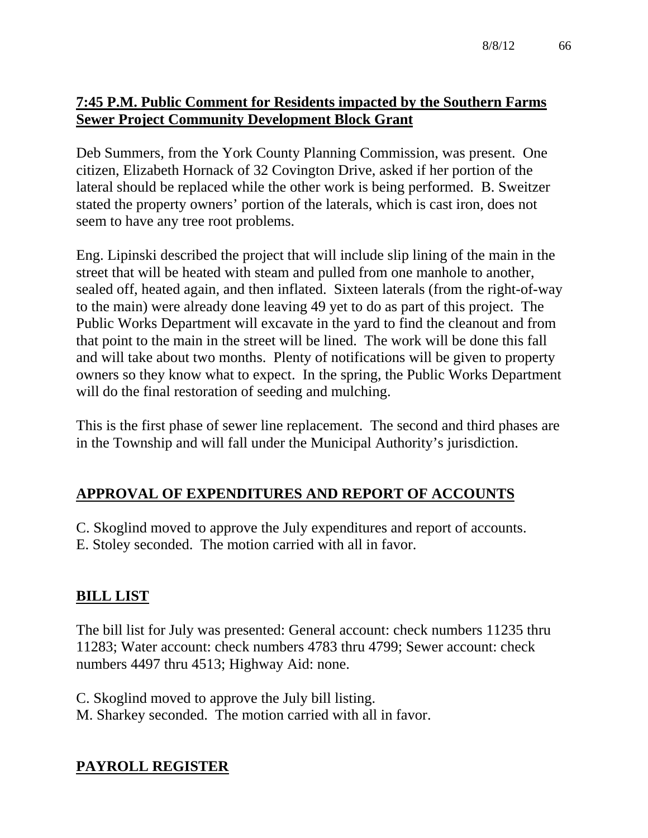# **7:45 P.M. Public Comment for Residents impacted by the Southern Farms Sewer Project Community Development Block Grant**

Deb Summers, from the York County Planning Commission, was present. One citizen, Elizabeth Hornack of 32 Covington Drive, asked if her portion of the lateral should be replaced while the other work is being performed. B. Sweitzer stated the property owners' portion of the laterals, which is cast iron, does not seem to have any tree root problems.

Eng. Lipinski described the project that will include slip lining of the main in the street that will be heated with steam and pulled from one manhole to another, sealed off, heated again, and then inflated. Sixteen laterals (from the right-of-way to the main) were already done leaving 49 yet to do as part of this project. The Public Works Department will excavate in the yard to find the cleanout and from that point to the main in the street will be lined. The work will be done this fall and will take about two months. Plenty of notifications will be given to property owners so they know what to expect. In the spring, the Public Works Department will do the final restoration of seeding and mulching.

This is the first phase of sewer line replacement. The second and third phases are in the Township and will fall under the Municipal Authority's jurisdiction.

# **APPROVAL OF EXPENDITURES AND REPORT OF ACCOUNTS**

- C. Skoglind moved to approve the July expenditures and report of accounts.
- E. Stoley seconded. The motion carried with all in favor.

# **BILL LIST**

The bill list for July was presented: General account: check numbers 11235 thru 11283; Water account: check numbers 4783 thru 4799; Sewer account: check numbers 4497 thru 4513; Highway Aid: none.

C. Skoglind moved to approve the July bill listing.

M. Sharkey seconded. The motion carried with all in favor.

# **PAYROLL REGISTER**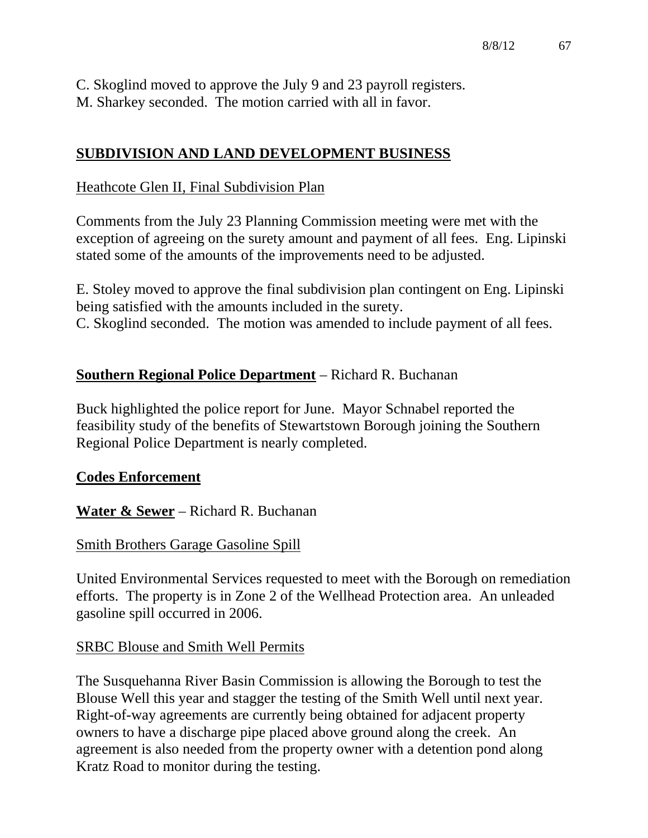C. Skoglind moved to approve the July 9 and 23 payroll registers. M. Sharkey seconded. The motion carried with all in favor.

## **SUBDIVISION AND LAND DEVELOPMENT BUSINESS**

#### Heathcote Glen II, Final Subdivision Plan

Comments from the July 23 Planning Commission meeting were met with the exception of agreeing on the surety amount and payment of all fees. Eng. Lipinski stated some of the amounts of the improvements need to be adjusted.

E. Stoley moved to approve the final subdivision plan contingent on Eng. Lipinski being satisfied with the amounts included in the surety. C. Skoglind seconded. The motion was amended to include payment of all fees.

## **Southern Regional Police Department** – Richard R. Buchanan

Buck highlighted the police report for June. Mayor Schnabel reported the feasibility study of the benefits of Stewartstown Borough joining the Southern Regional Police Department is nearly completed.

#### **Codes Enforcement**

**Water & Sewer** – Richard R. Buchanan

#### Smith Brothers Garage Gasoline Spill

United Environmental Services requested to meet with the Borough on remediation efforts. The property is in Zone 2 of the Wellhead Protection area. An unleaded gasoline spill occurred in 2006.

#### SRBC Blouse and Smith Well Permits

The Susquehanna River Basin Commission is allowing the Borough to test the Blouse Well this year and stagger the testing of the Smith Well until next year. Right-of-way agreements are currently being obtained for adjacent property owners to have a discharge pipe placed above ground along the creek. An agreement is also needed from the property owner with a detention pond along Kratz Road to monitor during the testing.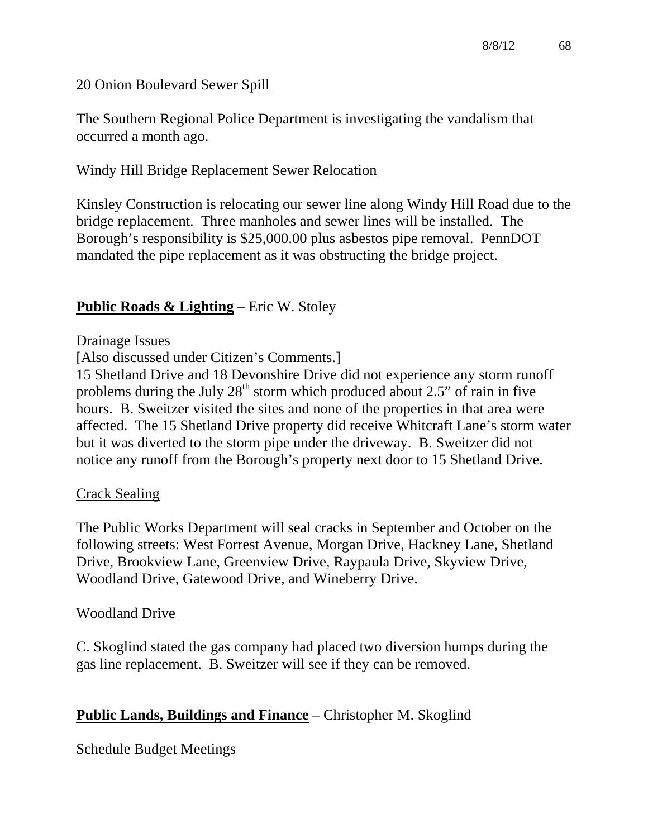## 20 Onion Boulevard Sewer Spill

The Southern Regional Police Department is investigating the vandalism that occurred a month ago.

## Windy Hill Bridge Replacement Sewer Relocation

Kinsley Construction is relocating our sewer line along Windy Hill Road due to the bridge replacement. Three manholes and sewer lines will be installed. The Borough's responsibility is \$25,000.00 plus asbestos pipe removal. PennDOT mandated the pipe replacement as it was obstructing the bridge project.

## **Public Roads & Lighting** – Eric W. Stoley

#### Drainage Issues

[Also discussed under Citizen's Comments.]

15 Shetland Drive and 18 Devonshire Drive did not experience any storm runoff problems during the July  $28<sup>th</sup>$  storm which produced about 2.5" of rain in five hours. B. Sweitzer visited the sites and none of the properties in that area were affected. The 15 Shetland Drive property did receive Whitcraft Lane's storm water but it was diverted to the storm pipe under the driveway. B. Sweitzer did not notice any runoff from the Borough's property next door to 15 Shetland Drive.

#### Crack Sealing

The Public Works Department will seal cracks in September and October on the following streets: West Forrest Avenue, Morgan Drive, Hackney Lane, Shetland Drive, Brookview Lane, Greenview Drive, Raypaula Drive, Skyview Drive, Woodland Drive, Gatewood Drive, and Wineberry Drive.

#### Woodland Drive

C. Skoglind stated the gas company had placed two diversion humps during the gas line replacement. B. Sweitzer will see if they can be removed.

# **Public Lands, Buildings and Finance** – Christopher M. Skoglind

#### Schedule Budget Meetings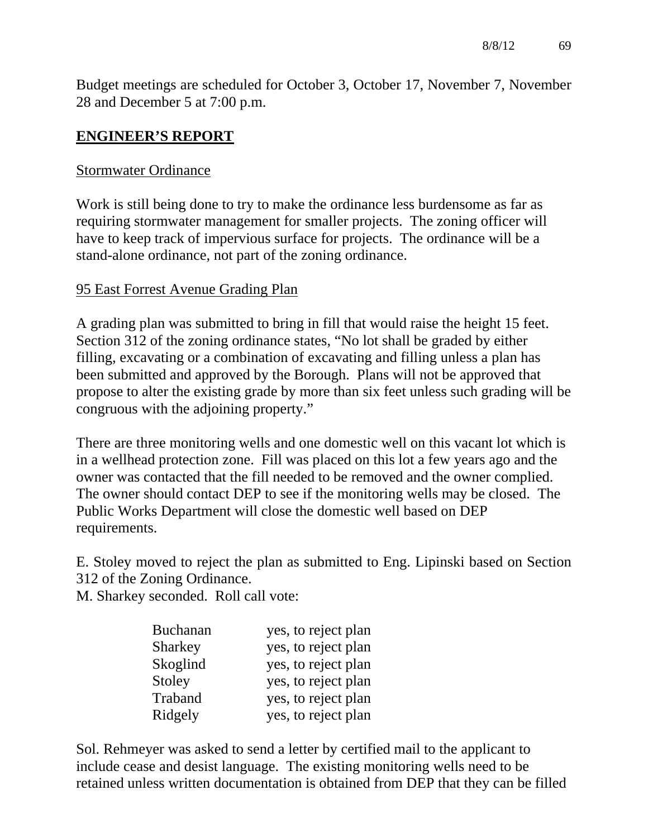Budget meetings are scheduled for October 3, October 17, November 7, November 28 and December 5 at 7:00 p.m.

### **ENGINEER'S REPORT**

#### Stormwater Ordinance

Work is still being done to try to make the ordinance less burdensome as far as requiring stormwater management for smaller projects. The zoning officer will have to keep track of impervious surface for projects. The ordinance will be a stand-alone ordinance, not part of the zoning ordinance.

#### 95 East Forrest Avenue Grading Plan

A grading plan was submitted to bring in fill that would raise the height 15 feet. Section 312 of the zoning ordinance states, "No lot shall be graded by either filling, excavating or a combination of excavating and filling unless a plan has been submitted and approved by the Borough. Plans will not be approved that propose to alter the existing grade by more than six feet unless such grading will be congruous with the adjoining property."

There are three monitoring wells and one domestic well on this vacant lot which is in a wellhead protection zone. Fill was placed on this lot a few years ago and the owner was contacted that the fill needed to be removed and the owner complied. The owner should contact DEP to see if the monitoring wells may be closed. The Public Works Department will close the domestic well based on DEP requirements.

E. Stoley moved to reject the plan as submitted to Eng. Lipinski based on Section 312 of the Zoning Ordinance.

M. Sharkey seconded. Roll call vote:

| <b>Buchanan</b> | yes, to reject plan |
|-----------------|---------------------|
| <b>Sharkey</b>  | yes, to reject plan |
| Skoglind        | yes, to reject plan |
| Stoley          | yes, to reject plan |
| Traband         | yes, to reject plan |
| Ridgely         | yes, to reject plan |

Sol. Rehmeyer was asked to send a letter by certified mail to the applicant to include cease and desist language. The existing monitoring wells need to be retained unless written documentation is obtained from DEP that they can be filled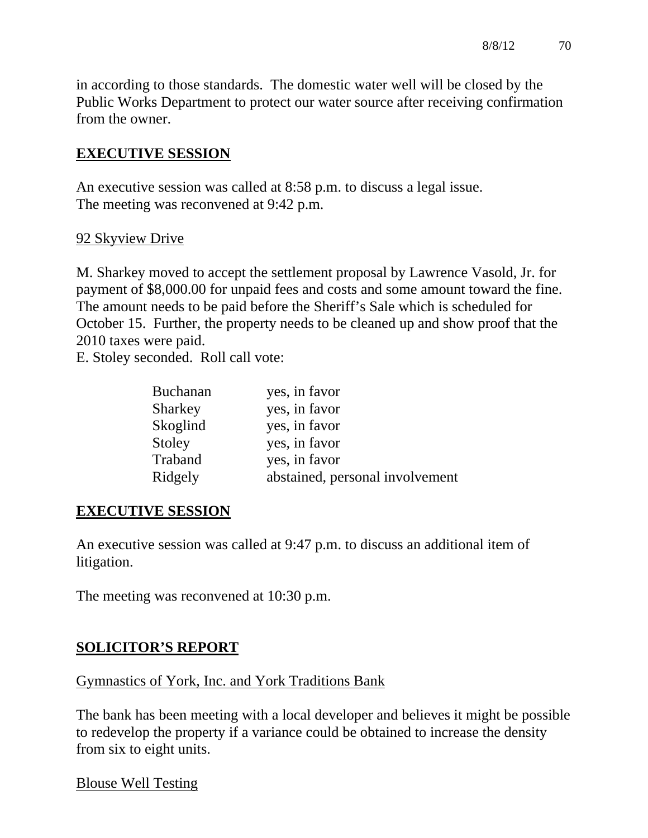in according to those standards. The domestic water well will be closed by the Public Works Department to protect our water source after receiving confirmation from the owner.

### **EXECUTIVE SESSION**

An executive session was called at 8:58 p.m. to discuss a legal issue. The meeting was reconvened at 9:42 p.m.

#### 92 Skyview Drive

M. Sharkey moved to accept the settlement proposal by Lawrence Vasold, Jr. for payment of \$8,000.00 for unpaid fees and costs and some amount toward the fine. The amount needs to be paid before the Sheriff's Sale which is scheduled for October 15. Further, the property needs to be cleaned up and show proof that the 2010 taxes were paid.

E. Stoley seconded. Roll call vote:

| <b>Buchanan</b> | yes, in favor                   |
|-----------------|---------------------------------|
| Sharkey         | yes, in favor                   |
| Skoglind        | yes, in favor                   |
| Stoley          | yes, in favor                   |
| Traband         | yes, in favor                   |
| Ridgely         | abstained, personal involvement |

#### **EXECUTIVE SESSION**

An executive session was called at 9:47 p.m. to discuss an additional item of litigation.

The meeting was reconvened at 10:30 p.m.

# **SOLICITOR'S REPORT**

#### Gymnastics of York, Inc. and York Traditions Bank

The bank has been meeting with a local developer and believes it might be possible to redevelop the property if a variance could be obtained to increase the density from six to eight units.

Blouse Well Testing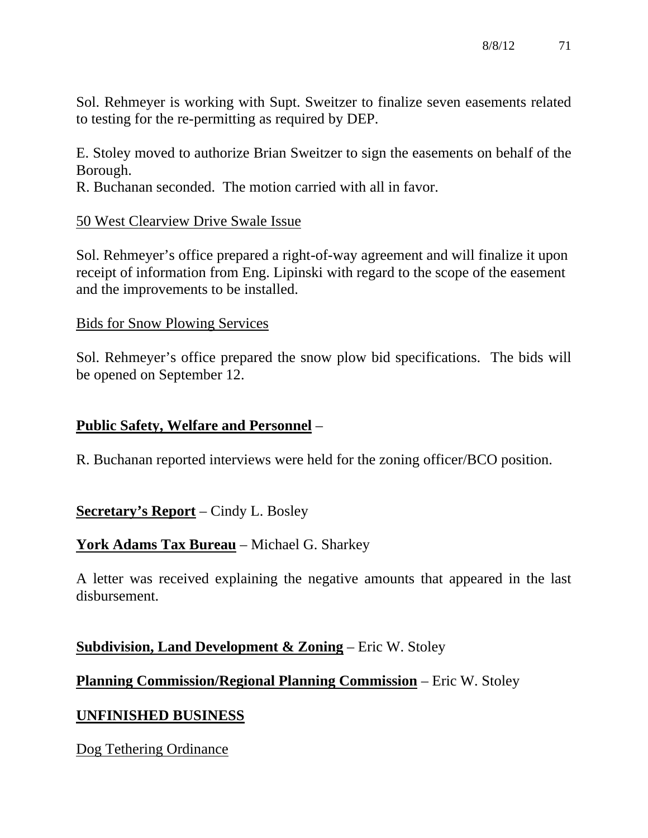Sol. Rehmeyer is working with Supt. Sweitzer to finalize seven easements related to testing for the re-permitting as required by DEP.

E. Stoley moved to authorize Brian Sweitzer to sign the easements on behalf of the Borough.

R. Buchanan seconded. The motion carried with all in favor.

#### 50 West Clearview Drive Swale Issue

Sol. Rehmeyer's office prepared a right-of-way agreement and will finalize it upon receipt of information from Eng. Lipinski with regard to the scope of the easement and the improvements to be installed.

#### Bids for Snow Plowing Services

Sol. Rehmeyer's office prepared the snow plow bid specifications. The bids will be opened on September 12.

#### **Public Safety, Welfare and Personnel** –

R. Buchanan reported interviews were held for the zoning officer/BCO position.

#### **Secretary's Report** – Cindy L. Bosley

#### **York Adams Tax Bureau** – Michael G. Sharkey

A letter was received explaining the negative amounts that appeared in the last disbursement.

#### **Subdivision, Land Development & Zoning** – Eric W. Stoley

#### **Planning Commission/Regional Planning Commission** – Eric W. Stoley

#### **UNFINISHED BUSINESS**

Dog Tethering Ordinance